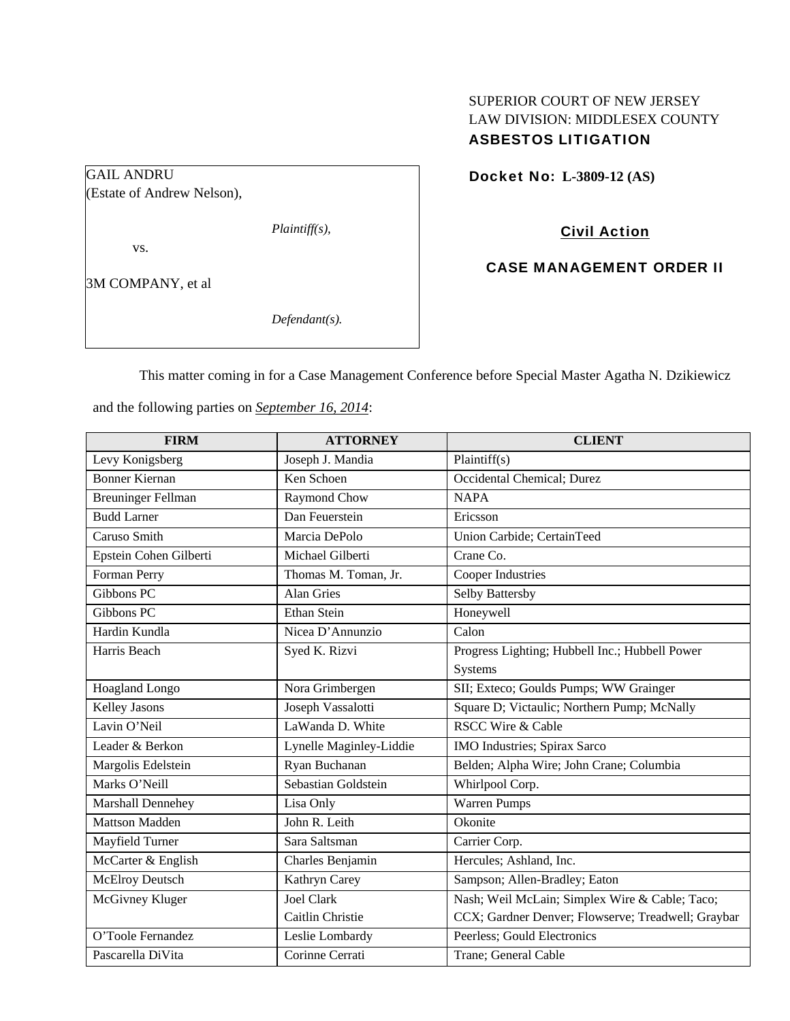# SUPERIOR COURT OF NEW JERSEY LAW DIVISION: MIDDLESEX COUNTY ASBESTOS LITIGATION

Docket No: **L-3809-12 (AS)** 

(Estate of Andrew Nelson),

*Plaintiff(s),* 

vs.

GAIL ANDRU

3M COMPANY, et al

*Defendant(s).* 

Civil Action

CASE MANAGEMENT ORDER II

This matter coming in for a Case Management Conference before Special Master Agatha N. Dzikiewicz

and the following parties on *September 16, 2014*:

| <b>FIRM</b>               | <b>ATTORNEY</b>         | <b>CLIENT</b>                                      |
|---------------------------|-------------------------|----------------------------------------------------|
| Levy Konigsberg           | Joseph J. Mandia        | Plaintiff(s)                                       |
| <b>Bonner Kiernan</b>     | Ken Schoen              | Occidental Chemical; Durez                         |
| <b>Breuninger Fellman</b> | Raymond Chow            | <b>NAPA</b>                                        |
| <b>Budd Larner</b>        | Dan Feuerstein          | Ericsson                                           |
| Caruso Smith              | Marcia DePolo           | Union Carbide; CertainTeed                         |
| Epstein Cohen Gilberti    | Michael Gilberti        | Crane Co.                                          |
| Forman Perry              | Thomas M. Toman, Jr.    | <b>Cooper Industries</b>                           |
| Gibbons PC                | <b>Alan Gries</b>       | Selby Battersby                                    |
| Gibbons PC                | Ethan Stein             | Honeywell                                          |
| Hardin Kundla             | Nicea D'Annunzio        | Calon                                              |
| Harris Beach              | Syed K. Rizvi           | Progress Lighting; Hubbell Inc.; Hubbell Power     |
|                           |                         | Systems                                            |
| Hoagland Longo            | Nora Grimbergen         | SII; Exteco; Goulds Pumps; WW Grainger             |
| <b>Kelley Jasons</b>      | Joseph Vassalotti       | Square D; Victaulic; Northern Pump; McNally        |
| Lavin O'Neil              | LaWanda D. White        | <b>RSCC Wire &amp; Cable</b>                       |
| Leader & Berkon           | Lynelle Maginley-Liddie | IMO Industries; Spirax Sarco                       |
| Margolis Edelstein        | Ryan Buchanan           | Belden; Alpha Wire; John Crane; Columbia           |
| Marks O'Neill             | Sebastian Goldstein     | Whirlpool Corp.                                    |
| Marshall Dennehey         | Lisa Only               | Warren Pumps                                       |
| <b>Mattson Madden</b>     | John R. Leith           | Okonite                                            |
| Mayfield Turner           | Sara Saltsman           | Carrier Corp.                                      |
| McCarter & English        | Charles Benjamin        | Hercules; Ashland, Inc.                            |
| <b>McElroy Deutsch</b>    | Kathryn Carey           | Sampson; Allen-Bradley; Eaton                      |
| McGivney Kluger           | <b>Joel Clark</b>       | Nash; Weil McLain; Simplex Wire & Cable; Taco;     |
|                           | Caitlin Christie        | CCX; Gardner Denver; Flowserve; Treadwell; Graybar |
| O'Toole Fernandez         | Leslie Lombardy         | Peerless; Gould Electronics                        |
| Pascarella DiVita         | Corinne Cerrati         | Trane; General Cable                               |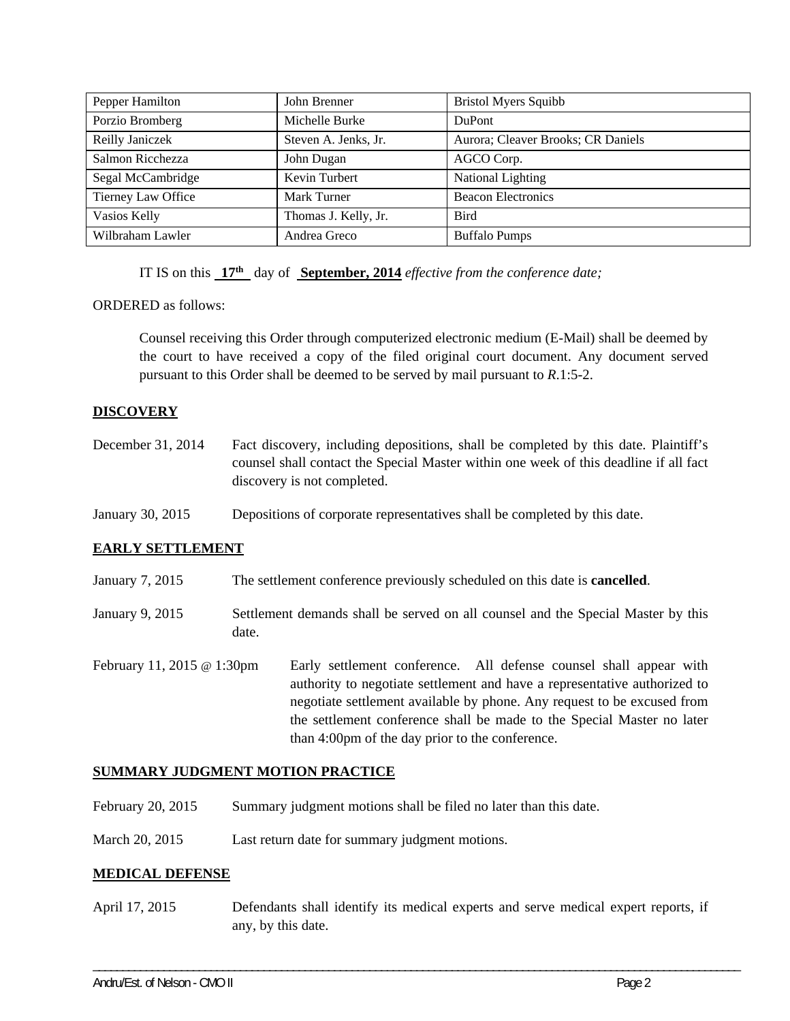| Pepper Hamilton    | John Brenner         | <b>Bristol Myers Squibb</b>        |
|--------------------|----------------------|------------------------------------|
| Porzio Bromberg    | Michelle Burke       | <b>DuPont</b>                      |
| Reilly Janiczek    | Steven A. Jenks, Jr. | Aurora; Cleaver Brooks; CR Daniels |
| Salmon Ricchezza   | John Dugan           | AGCO Corp.                         |
| Segal McCambridge  | Kevin Turbert        | National Lighting                  |
| Tierney Law Office | Mark Turner          | <b>Beacon Electronics</b>          |
| Vasios Kelly       | Thomas J. Kelly, Jr. | <b>Bird</b>                        |
| Wilbraham Lawler   | Andrea Greco         | <b>Buffalo Pumps</b>               |

IT IS on this **17th** day of **September, 2014** *effective from the conference date;*

ORDERED as follows:

Counsel receiving this Order through computerized electronic medium (E-Mail) shall be deemed by the court to have received a copy of the filed original court document. Any document served pursuant to this Order shall be deemed to be served by mail pursuant to *R*.1:5-2.

### **DISCOVERY**

| December 31, 2014 | Fact discovery, including depositions, shall be completed by this date. Plaintiff's   |
|-------------------|---------------------------------------------------------------------------------------|
|                   | counsel shall contact the Special Master within one week of this deadline if all fact |
|                   | discovery is not completed.                                                           |

January 30, 2015 Depositions of corporate representatives shall be completed by this date.

### **EARLY SETTLEMENT**

- January 7, 2015 The settlement conference previously scheduled on this date is **cancelled**.
- January 9, 2015 Settlement demands shall be served on all counsel and the Special Master by this date.
- February 11, 2015 @ 1:30pm Early settlement conference. All defense counsel shall appear with authority to negotiate settlement and have a representative authorized to negotiate settlement available by phone. Any request to be excused from the settlement conference shall be made to the Special Master no later than 4:00pm of the day prior to the conference.

#### **SUMMARY JUDGMENT MOTION PRACTICE**

- February 20, 2015 Summary judgment motions shall be filed no later than this date.
- March 20, 2015 Last return date for summary judgment motions.

#### **MEDICAL DEFENSE**

April 17, 2015 Defendants shall identify its medical experts and serve medical expert reports, if any, by this date.

\_\_\_\_\_\_\_\_\_\_\_\_\_\_\_\_\_\_\_\_\_\_\_\_\_\_\_\_\_\_\_\_\_\_\_\_\_\_\_\_\_\_\_\_\_\_\_\_\_\_\_\_\_\_\_\_\_\_\_\_\_\_\_\_\_\_\_\_\_\_\_\_\_\_\_\_\_\_\_\_\_\_\_\_\_\_\_\_\_\_\_\_\_\_\_\_\_\_\_\_\_\_\_\_\_\_\_\_\_\_